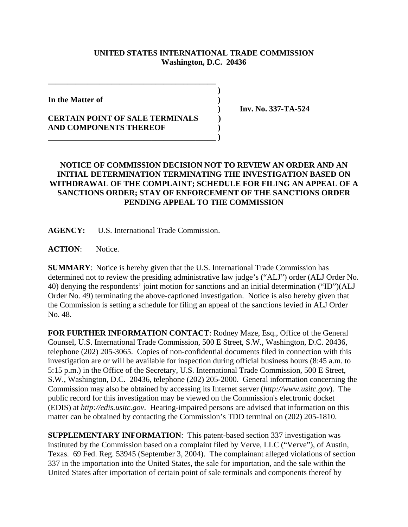## **UNITED STATES INTERNATIONAL TRADE COMMISSION Washington, D.C. 20436**

 **)**

**In the Matter of )**

## **CERTAIN POINT OF SALE TERMINALS ) AND COMPONENTS THEREOF ) \_\_\_\_\_\_\_\_\_\_\_\_\_\_\_\_\_\_\_\_\_\_\_\_\_\_\_\_\_\_\_\_\_\_\_\_\_\_\_\_\_\_ )**

**\_\_\_\_\_\_\_\_\_\_\_\_\_\_\_\_\_\_\_\_\_\_\_\_\_\_\_\_\_\_\_\_\_\_\_\_\_\_\_\_\_\_**

 **) Inv. No. 337-TA-524**

## **NOTICE OF COMMISSION DECISION NOT TO REVIEW AN ORDER AND AN INITIAL DETERMINATION TERMINATING THE INVESTIGATION BASED ON WITHDRAWAL OF THE COMPLAINT; SCHEDULE FOR FILING AN APPEAL OF A SANCTIONS ORDER; STAY OF ENFORCEMENT OF THE SANCTIONS ORDER PENDING APPEAL TO THE COMMISSION**

**AGENCY:** U.S. International Trade Commission.

**ACTION**: Notice.

**SUMMARY**: Notice is hereby given that the U.S. International Trade Commission has determined not to review the presiding administrative law judge's ("ALJ") order (ALJ Order No. 40) denying the respondents' joint motion for sanctions and an initial determination ("ID")(ALJ Order No. 49) terminating the above-captioned investigation. Notice is also hereby given that the Commission is setting a schedule for filing an appeal of the sanctions levied in ALJ Order No. 48.

**FOR FURTHER INFORMATION CONTACT**: Rodney Maze, Esq., Office of the General Counsel, U.S. International Trade Commission, 500 E Street, S.W., Washington, D.C. 20436, telephone (202) 205-3065. Copies of non-confidential documents filed in connection with this investigation are or will be available for inspection during official business hours (8:45 a.m. to 5:15 p.m.) in the Office of the Secretary, U.S. International Trade Commission, 500 E Street, S.W., Washington, D.C. 20436, telephone (202) 205-2000. General information concerning the Commission may also be obtained by accessing its Internet server (*http://www.usitc.gov*). The public record for this investigation may be viewed on the Commission's electronic docket (EDIS) at *http://edis.usitc.gov*. Hearing-impaired persons are advised that information on this matter can be obtained by contacting the Commission's TDD terminal on (202) 205-1810.

**SUPPLEMENTARY INFORMATION**: This patent-based section 337 investigation was instituted by the Commission based on a complaint filed by Verve, LLC ("Verve"), of Austin, Texas. 69 Fed. Reg. 53945 (September 3, 2004). The complainant alleged violations of section 337 in the importation into the United States, the sale for importation, and the sale within the United States after importation of certain point of sale terminals and components thereof by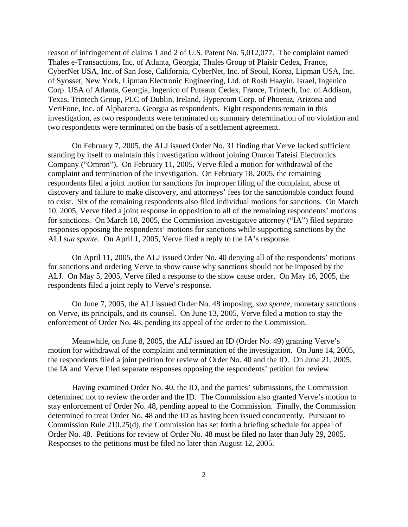reason of infringement of claims 1 and 2 of U.S. Patent No. 5,012,077. The complaint named Thales e-Transactions, Inc. of Atlanta, Georgia, Thales Group of Plaisir Cedex, France, CyberNet USA, Inc. of San Jose, California, CyberNet, Inc. of Seoul, Korea, Lipman USA, Inc. of Syosset, New York, Lipman Electronic Engineering, Ltd. of Rosh Haayin, Israel, Ingenico Corp. USA of Atlanta, Georgia, Ingenico of Puteaux Cedex, France, Trintech, Inc. of Addison, Texas, Trintech Group, PLC of Dublin, Ireland, Hypercom Corp. of Phoeniz, Arizona and VeriFone, Inc. of Alpharetta, Georgia as respondents. Eight respondents remain in this investigation, as two respondents were terminated on summary determination of no violation and two respondents were terminated on the basis of a settlement agreement.

On February 7, 2005, the ALJ issued Order No. 31 finding that Verve lacked sufficient standing by itself to maintain this investigation without joining Omron Tateisi Electronics Company ("Omron"). On February 11, 2005, Verve filed a motion for withdrawal of the complaint and termination of the investigation. On February 18, 2005, the remaining respondents filed a joint motion for sanctions for improper filing of the complaint, abuse of discovery and failure to make discovery, and attorneys' fees for the sanctionable conduct found to exist. Six of the remaining respondents also filed individual motions for sanctions. On March 10, 2005, Verve filed a joint response in opposition to all of the remaining respondents' motions for sanctions. On March 18, 2005, the Commission investigative attorney ("IA") filed separate responses opposing the respondents' motions for sanctions while supporting sanctions by the ALJ *sua sponte*. On April 1, 2005, Verve filed a reply to the IA's response.

On April 11, 2005, the ALJ issued Order No. 40 denying all of the respondents' motions for sanctions and ordering Verve to show cause why sanctions should not be imposed by the ALJ. On May 5, 2005, Verve filed a response to the show cause order. On May 16, 2005, the respondents filed a joint reply to Verve's response.

On June 7, 2005, the ALJ issued Order No. 48 imposing, *sua sponte*, monetary sanctions on Verve, its principals, and its counsel. On June 13, 2005, Verve filed a motion to stay the enforcement of Order No. 48, pending its appeal of the order to the Commission.

Meanwhile, on June 8, 2005, the ALJ issued an ID (Order No. 49) granting Verve's motion for withdrawal of the complaint and termination of the investigation. On June 14, 2005, the respondents filed a joint petition for review of Order No. 40 and the ID. On June 21, 2005, the IA and Verve filed separate responses opposing the respondents' petition for review.

Having examined Order No. 40, the ID, and the parties' submissions, the Commission determined not to review the order and the ID. The Commission also granted Verve's motion to stay enforcement of Order No. 48, pending appeal to the Commission. Finally, the Commission determined to treat Order No. 48 and the ID as having been issued concurrently. Pursuant to Commission Rule 210.25(d), the Commission has set forth a briefing schedule for appeal of Order No. 48. Petitions for review of Order No. 48 must be filed no later than July 29, 2005. Responses to the petitions must be filed no later than August 12, 2005.